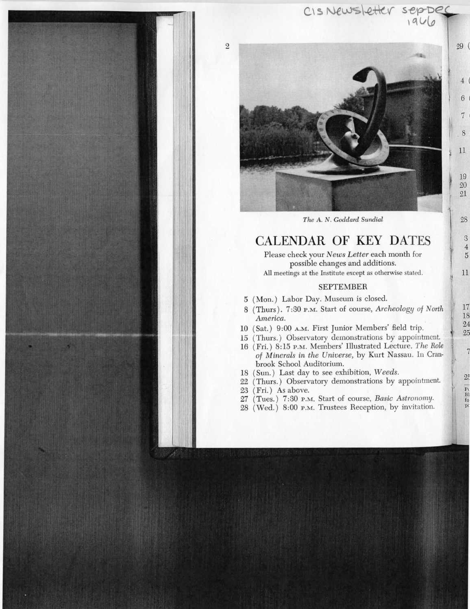

CISNEWSLEtter sepper

29 (

 $6\phantom{.}6$ 

7

8

 $11$ 

19  $20\,$  $21$ 

 ${\bf 28}$ 

 $\mathbf{3}$  $\overline{4}$  $\overline{5}$ 

 $11$ 

 $\overline{7}$ 

 $25$ 

 $\begin{array}{c}\n\overline{P_1} \\
\overline{B1} \\
\overline{f0}\n\end{array}$  $pc$ 

## CALENDAR OF KEY DATES

Please check your *News Letter* each month for possible changes and additions. All meetings at the Institute except as otherwise stated.

#### SEPTEMBER

- 5 (Mon.) Labor Day. Museum is closed.
- 8 (Thurs). 7:30 P.M. Start of course, *Archeology of North America.*
- 10 (Sat.) 9:00 A.M. First Junior Members' field trip.
- 15 (Thurs.) Observatory demonstrations by appointment.
- 16 (Fri.) 8:15 P.M. Members' Illustrated Lecture. *The Role of Minerals in the Universe,* by Kurt Nassau. In Granbrook School Auditorium.
- 18 (Sun.) Last day to see exhibition, *Weeds.*
- 22 (Thurs.) Observatory demonstrations by appointment.
- 23 (Fri.) As above.

 $\overline{2}$ 

- 27 (Toes.) 7:30 P.M. Start of course, *Basic Astronomy.*
- 28 (Wed.) 8:00 P.M. Trustees Reception, by invitation.

*The A. N. Goddard Sundial*